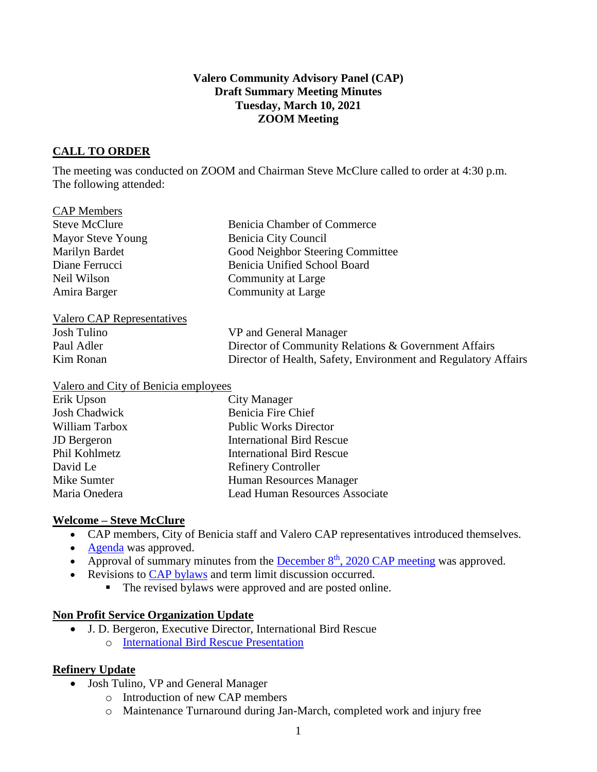#### **Valero Community Advisory Panel (CAP) Draft Summary Meeting Minutes Tuesday, March 10, 2021 ZOOM Meeting**

## **CALL TO ORDER**

The meeting was conducted on ZOOM and Chairman Steve McClure called to order at 4:30 p.m. The following attended:

| <b>Benicia Chamber of Commerce</b>                             |
|----------------------------------------------------------------|
| Benicia City Council                                           |
| Good Neighbor Steering Committee                               |
| Benicia Unified School Board                                   |
| Community at Large                                             |
| Community at Large                                             |
|                                                                |
| VP and General Manager                                         |
| Director of Community Relations & Government Affairs           |
| Director of Health, Safety, Environment and Regulatory Affairs |
|                                                                |

| Erik Upson         | City Manager                          |
|--------------------|---------------------------------------|
| Josh Chadwick      | Benicia Fire Chief                    |
| William Tarbox     | <b>Public Works Director</b>          |
| <b>JD</b> Bergeron | <b>International Bird Rescue</b>      |
| Phil Kohlmetz      | <b>International Bird Rescue</b>      |
| David Le           | <b>Refinery Controller</b>            |
| Mike Sumter        | Human Resources Manager               |
| Maria Onedera      | <b>Lead Human Resources Associate</b> |

### **Welcome – Steve McClure**

- CAP members, City of Benicia staff and Valero CAP representatives introduced themselves.
- [Agenda](https://e348c262-4b2c-47d9-952b-2d65140aa9a2.filesusr.com/ugd/20ec48_e51809a0bf664eca9bcf7c270ef019e0.pdf) was approved.
- Approval of summary minutes from the **December 8<sup>th</sup>**[, 2020 CAP meeting](https://www.beniciacap.com/minutes) was approved.
- Revisions to [CAP bylaws](https://www.beniciacap.com/by-laws) and term limit discussion occurred.
	- The revised bylaws were approved and are posted online.

### **Non Profit Service Organization Update**

• J. D. Bergeron, Executive Director, International Bird Rescue o [International Bird Rescue Presentation](https://www.beniciacap.com/about)

### **Refinery Update**

- Josh Tulino, VP and General Manager
	- o Introduction of new CAP members
	- o Maintenance Turnaround during Jan-March, completed work and injury free